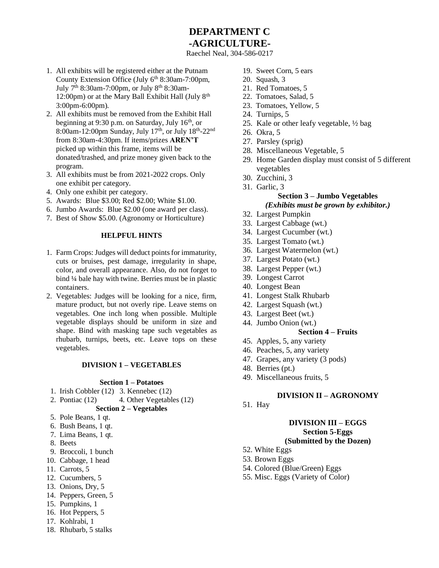# **DEPARTMENT C -AGRICULTURE-**

Raechel Neal, 304-586-0217

- 1. All exhibits will be registered either at the Putnam County Extension Office (July  $6<sup>th</sup> 8:30$ am-7:00pm, July 7th 8:30am-7:00pm, or July 8th 8:30am-12:00pm) or at the Mary Ball Exhibit Hall (July  $8<sup>th</sup>$ 3:00pm-6:00pm).
- 2. All exhibits must be removed from the Exhibit Hall beginning at 9:30 p.m. on Saturday, July  $16<sup>th</sup>$ , or 8:00am-12:00pm Sunday, July 17<sup>th</sup>, or July 18<sup>th</sup>-22<sup>nd</sup> from 8:30am-4:30pm. If items/prizes **AREN'T** picked up within this frame, items will be donated/trashed, and prize money given back to the program.
- 3. All exhibits must be from 2021-2022 crops. Only one exhibit per category.
- 4. Only one exhibit per category.
- 5. Awards: Blue \$3.00; Red \$2.00; White \$1.00.
- 6. Jumbo Awards: Blue \$2.00 (one award per class).
- 7. Best of Show \$5.00. (Agronomy or Horticulture)

#### **HELPFUL HINTS**

- 1. Farm Crops: Judges will deduct points for immaturity, cuts or bruises, pest damage, irregularity in shape, color, and overall appearance. Also, do not forget to bind ¼ bale hay with twine. Berries must be in plastic containers.
- 2. Vegetables: Judges will be looking for a nice, firm, mature product, but not overly ripe. Leave stems on vegetables. One inch long when possible. Multiple vegetable displays should be uniform in size and shape. Bind with masking tape such vegetables as rhubarb, turnips, beets, etc. Leave tops on these vegetables.

## **DIVISION 1 – VEGETABLES**

#### **Section 1 – Potatoes**

- 1. Irish Cobbler (12) 3. Kennebec (12)
- 2. Pontiac (12) 4. Other Vegetables (12) **Section 2 – Vegetables**
- 5. Pole Beans, 1 qt.
- 6. Bush Beans, 1 qt.
- 7. Lima Beans, 1 qt.
- 8. Beets
- 9. Broccoli, 1 bunch
- 10. Cabbage, 1 head
- 11. Carrots, 5
- 12. Cucumbers, 5
- 13. Onions, Dry, 5
- 14. Peppers, Green, 5
- 15. Pumpkins, 1
- 16. Hot Peppers, 5
- 17. Kohlrabi, 1
- 18. Rhubarb, 5 stalks
- 19. Sweet Corn, 5 ears
- 20. Squash, 3
- 21. Red Tomatoes, 5
- 22. Tomatoes, Salad, 5
- 23. Tomatoes, Yellow, 5
- 24. Turnips, 5
- 25. Kale or other leafy vegetable, ½ bag
- 26. Okra, 5
- 27. Parsley (sprig)
- 28. Miscellaneous Vegetable, 5
- 29. Home Garden display must consist of 5 different vegetables
- 30. Zucchini, 3
- 31. Garlic, 3 **Section 3 – Jumbo Vegetables** *(Exhibits must be grown by exhibitor.)*
- 32. Largest Pumpkin
- 33. Largest Cabbage (wt.)
- 34. Largest Cucumber (wt.)
- 35. Largest Tomato (wt.)
- 36. Largest Watermelon (wt.)
- 37. Largest Potato (wt.)
- 38. Largest Pepper (wt.)
- 39. Longest Carrot
- 40. Longest Bean
- 41. Longest Stalk Rhubarb
- 42. Largest Squash (wt.)
- 43. Largest Beet (wt.)
- 44. Jumbo Onion (wt.)

## **Section 4 – Fruits**

- 45. Apples, 5, any variety
- 46. Peaches, 5, any variety
- 47. Grapes, any variety (3 pods)
- 48. Berries (pt.)
- 49. Miscellaneous fruits, 5

#### **DIVISION II – AGRONOMY**

51. Hay

#### **DIVISION III – EGGS Section 5-Eggs**

## **(Submitted by the Dozen)**

- 52. White Eggs
- 53. Brown Eggs
- 54. Colored (Blue/Green) Eggs
- 55. Misc. Eggs (Variety of Color)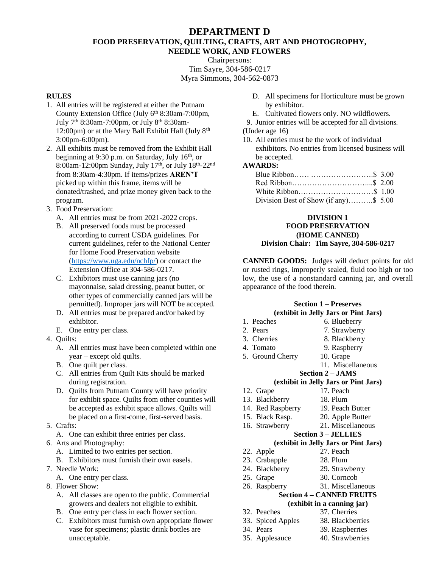## **DEPARTMENT D FOOD PRESERVATION, QUILTING, CRAFTS, ART AND PHOTOGROPHY, NEEDLE WORK, AND FLOWERS**

Chairpersons: Tim Sayre, 304-586-0217 Myra Simmons, 304-562-0873

## **RULES**

- 1. All entries will be registered at either the Putnam County Extension Office (July 6<sup>th</sup> 8:30am-7:00pm, July 7th 8:30am-7:00pm, or July 8th 8:30am-12:00pm) or at the Mary Ball Exhibit Hall (July  $8<sup>th</sup>$ 3:00pm-6:00pm).
- 2. All exhibits must be removed from the Exhibit Hall beginning at  $9:30$  p.m. on Saturday, July 16<sup>th</sup>, or 8:00am-12:00pm Sunday, July 17<sup>th</sup>, or July 18<sup>th</sup>-22<sup>nd</sup> from 8:30am-4:30pm. If items/prizes **AREN'T** picked up within this frame, items will be donated/trashed, and prize money given back to the program.
- 3. Food Preservation:
	- A. All entries must be from 2021-2022 crops.
	- B. All preserved foods must be processed according to current USDA guidelines. For current guidelines, refer to the National Center for Home Food Preservation website [\(https://www.uga.edu/nchfp/\)](https://www.uga.edu/nchfp/) or contact the Extension Office at 304-586-0217.
	- C. Exhibitors must use canning jars (no mayonnaise, salad dressing, peanut butter, or other types of commercially canned jars will be permitted). Improper jars will NOT be accepted.
	- D. All entries must be prepared and/or baked by exhibitor.
	- E. One entry per class.
- 4. Quilts:
	- A. All entries must have been completed within one year – except old quilts.
	- B. One quilt per class.
	- C. All entries from Quilt Kits should be marked during registration.
	- D. Quilts from Putnam County will have priority for exhibit space. Quilts from other counties will be accepted as exhibit space allows. Quilts will be placed on a first-come, first-served basis.
- 5. Crafts:
	- A. One can exhibit three entries per class.
- 6. Arts and Photography:
	- A. Limited to two entries per section.
	- B. Exhibitors must furnish their own easels.
- 7. Needle Work:
	- A. One entry per class.
- 8. Flower Show:
	- A. All classes are open to the public. Commercial growers and dealers not eligible to exhibit.
	- B. One entry per class in each flower section.
	- C. Exhibitors must furnish own appropriate flower vase for specimens; plastic drink bottles are unacceptable.
- D. All specimens for Horticulture must be grown by exhibitor.
- E. Cultivated flowers only. NO wildflowers.
- 9. Junior entries will be accepted for all divisions. (Under age 16)
- 10. All entries must be the work of individual exhibitors. No entries from licensed business will be accepted.

## **AWARDS:**

| Division Best of Show (if any)\$ 5.00 |  |
|---------------------------------------|--|

#### **DIVISION 1 FOOD PRESERVATION (HOME CANNED) Division Chair: Tim Sayre, 304-586-0217**

**CANNED GOODS:** Judges will deduct points for old or rusted rings, improperly sealed, fluid too high or too low, the use of a nonstandard canning jar, and overall appearance of the food therein.

# **Section 1 – Preserves (exhibit in Jelly Jars or Pint Jars)**

- 1. Peaches 6. Blueberry 2. Pears 7. Strawberry 3. Cherries 8. Blackberry 4. Tomato 9. Raspberry 5. Ground Cherry 10. Grape 11. Miscellaneous **Section 2 – JAMS (exhibit in Jelly Jars or Pint Jars)** 12. Grape 17. Peach 13. Blackberry 18. Plum 14. Red Raspberry 19. Peach Butter 15. Black Rasp. 20. Apple Butter 16. Strawberry 21. Miscellaneous **Section 3 – JELLIES (exhibit in Jelly Jars or Pint Jars)** 22. Apple 27. Peach 23. Crabapple 28. Plum 24. Blackberry 29. Strawberry 25. Grape 30. Corncob 26. Raspberry 31. Miscellaneous **Section 4 – CANNED FRUITS (exhibit in a canning jar)** 32. Peaches 37. Cherries 33. Spiced Apples 38. Blackberries 34. Pears 39. Raspberries
	-
- 35. Applesauce 40. Strawberries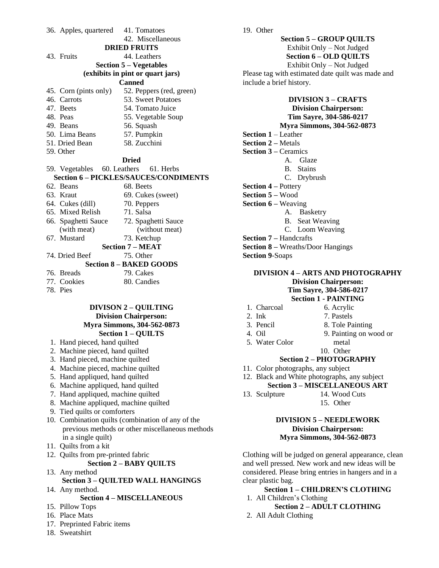36. Apples, quartered 41. Tomatoes 42. Miscellaneous **DRIED FRUITS** 43. Fruits 44. Leathers **Section 5 – Vegetables (exhibits in pint or quart jars) Canned** 45. Corn (pints only) 52. Peppers (red, green) 46. Carrots 53. Sweet Potatoes 47. Beets 54. Tomato Juice 48. Peas 55. Vegetable Soup 49. Beans 56. Squash 50. Lima Beans 57. Pumpkin<br>51. Dried Bean 58. Zucchini 51. Dried Bean 59. Other **Dried** 59. Vegetables 60. Leathers 61. Herbs **Section 6 – PICKLES/SAUCES/CONDIMENTS** 62. Beans 68. Beets 63. Kraut 69. Cukes (sweet) 64. Cukes (dill) 70. Peppers 65. Mixed Relish 71. Salsa 66. Spaghetti Sauce 72. Spaghetti Sauce (with meat) (without meat) 67. Mustard 73. Ketchup **Section 7 – MEAT**

74. Dried Beef 75. Other

# **Section 8 – BAKED GOODS**

- 76. Breads 79. Cakes 77. Cookies 80. Candies
- 78. Pies

#### **DIVISON 2 – QUILTING Division Chairperson: Myra Simmons, 304-562-0873 Section 1 – QUILTS**

- 1. Hand pieced, hand quilted
- 2. Machine pieced, hand quilted
- 3. Hand pieced, machine quilted
- 4. Machine pieced, machine quilted
- 5. Hand appliqued, hand quilted
- 6. Machine appliqued, hand quilted
- 7. Hand appliqued, machine quilted
- 8. Machine appliqued, machine quilted
- 9. Tied quilts or comforters
- 10. Combination quilts (combination of any of the previous methods or other miscellaneous methods in a single quilt)
- 11. Quilts from a kit
- 12. Quilts from pre-printed fabric **Section 2 – BABY QUILTS**
- 13. Any method **Section 3 – QUILTED WALL HANGINGS**
- 14. Any method. **Section 4 – MISCELLANEOUS**
- 15. Pillow Tops
- 16. Place Mats
- 17. Preprinted Fabric items
- 18. Sweatshirt

**Section 5 – GROUP QUILTS** Exhibit Only – Not Judged **Section 6 – OLD QUILTS** Exhibit Only – Not Judged Please tag with estimated date quilt was made and include a brief history.

## **DIVISION 3 – CRAFTS Division Chairperson: Tim Sayre, 304-586-0217**

## **Myra Simmons, 304-562-0873**

- **Section 1** Leather
- **Section 2 –** Metals
- **Section 3 –** Ceramics
	- A. Glaze
	- B. Stains
		- C. Drybrush
- **Section 4 –** Pottery
- **Section 5 –** Wood
- **Section 6 –** Weaving
	- A. Basketry
		- B. Seat Weaving
		- C. Loom Weaving
- **Section 7 –** Handcrafts
- **Section 8 –** Wreaths/Door Hangings
- **Section 9**-Soaps

#### **DIVISION 4 – ARTS AND PHOTOGRAPHY Division Chairperson: Tim Sayre, 304-586-0217 Section 1 - PAINTING**

| 1. Charcoal    | 6. Acrylic             |
|----------------|------------------------|
| $2.$ Ink       | 7. Pastels             |
| 3. Pencil      | 8. Tole Painting       |
| 4. Oil         | 9. Painting on wood or |
| 5. Water Color | metal                  |
|                | 10 Other               |

## **Section 2 – PHOTOGRAPHY**

- 11. Color photographs, any subject
- 12. Black and White photographs, any subject **Section 3 – MISCELLANEOUS ART**
- 13. Sculpture 14. Wood Cuts
	- 15. Other

#### **DIVISION 5 – NEEDLEWORK Division Chairperson: Myra Simmons, 304-562-0873**

Clothing will be judged on general appearance, clean and well pressed. New work and new ideas will be considered. Please bring entries in hangers and in a clear plastic bag.

#### **Section 1 – CHILDREN'S CLOTHING** 1. All Children's Clothing

- **Section 2 – ADULT CLOTHING**
- 2. All Adult Clothing

19. Other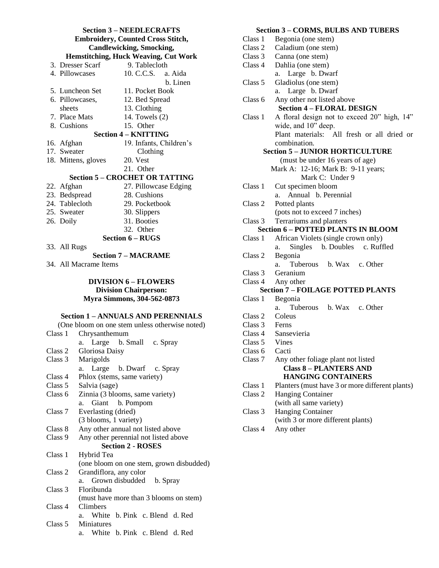## **Section 3 – NEEDLECRAFTS Embroidery, Counted Cross Stitch, Candlewicking, Smocking, Hemstitching, Huck Weaving, Cut Work** 3. Dresser Scarf 9. Tablecloth<br>4. Pillowcases 10. C.C.S. a. 10. C.C.S. a. Aida b. Linen 5. Luncheon Set 11. Pocket Book 6. Pillowcases, 12. Bed Spread sheets 13. Clothing 7. Place Mats 14. Towels (2) 8. Cushions 15. Other **Section 4 – KNITTING** 16. Afghan 19. Infants, Children's 17. Sweater Clothing 18. Mittens, gloves 20. Vest 21. Other **Section 5 – CROCHET OR TATTING** 22. Afghan 27. Pillowcase Edging 23. Bedspread 28. Cushions 24. Tablecloth 29. Pocketbook 25. Sweater 30. Slippers 26. Doily 31. Booties 32. Other **Section 6 – RUGS** 33. All Rugs

**Section 7 – MACRAME**

34. All Macrame Items

#### **DIVISION 6 – FLOWERS Division Chairperson: Myra Simmons, 304-562-0873**

#### **Section 1 – ANNUALS AND PERENNIALS**

|         | (One bloom on one stem unless otherwise noted) |
|---------|------------------------------------------------|
| Class 1 | Chrysanthemum                                  |
|         | a. Large b. Small c. Spray                     |
| Class 2 | Gloriosa Daisy                                 |
| Class 3 | Marigolds                                      |
|         | a. Large b. Dwarf c. Spray                     |
| Class 4 | Phlox (stems, same variety)                    |
| Class 5 | Salvia (sage)                                  |
| Class 6 | Zinnia (3 blooms, same variety)                |
|         | Giant b. Pompom<br>a.                          |
| Class 7 | Everlasting (dried)                            |
|         | (3 blooms, 1 variety)                          |
| Class 8 | Any other annual not listed above              |
| Class 9 | Any other perennial not listed above           |
|         | <b>Section 2 - ROSES</b>                       |
| Class 1 | Hybrid Tea                                     |
|         | (one bloom on one stem, grown disbudded)       |
| Class 2 | Grandiflora, any color                         |
|         | a. Grown disbudded b. Spray                    |
| Class 3 | Floribunda                                     |
|         | (must have more than 3 blooms on stem)         |
| Class 4 | Climbers                                       |
|         | a. White b. Pink c. Blend d. Red               |
| Class 5 | <b>Miniatures</b>                              |
|         | a. White b. Pink c. Blend d. Red               |

## **Section 3 – CORMS, BULBS AND TUBERS**

| Class 1       | Begonia (one stem)                              |
|---------------|-------------------------------------------------|
| Class 2       | Caladium (one stem)                             |
| Class 3       | Canna (one stem)                                |
| Class 4       | Dahlia (one stem)                               |
|               | a. Large b. Dwarf                               |
| Class 5       | Gladiolus (one stem)                            |
|               | Large b. Dwarf<br>a.                            |
| Class 6       | Any other not listed above                      |
|               | <b>Section 4 - FLORAL DESIGN</b>                |
| Class 1       | A floral design not to exceed 20" high, 14"     |
|               | wide, and 10" deep.                             |
|               | Plant materials: All fresh or all dried or      |
|               | combination.                                    |
|               | <b>Section 5 - JUNIOR HORTICULTURE</b>          |
|               | (must be under 16 years of age)                 |
|               | Mark A: 12-16; Mark B: 9-11 years;              |
|               | Mark C: Under 9                                 |
| Class 1       | Cut specimen bloom                              |
|               | Annual b. Perennial<br>a.                       |
| Class 2       | Potted plants                                   |
|               | (pots not to exceed 7 inches)                   |
| Class 3       | Terrariums and planters                         |
|               | <b>Section 6 - POTTED PLANTS IN BLOOM</b>       |
| Class 1       | African Violets (single crown only)             |
|               | Singles b. Doubles c. Ruffled<br>a.             |
| Class 2       | Begonia                                         |
|               | Tuberous b. Wax c. Other<br>a.                  |
| Class 3       | Geranium                                        |
| Class 4       | Any other                                       |
|               | <b>Section 7 - FOILAGE POTTED PLANTS</b>        |
| Class 1       | Begonia                                         |
|               | Tuberous b. Wax c. Other<br>a.                  |
| Class 2       | Coleus                                          |
| Class 3 Ferns |                                                 |
| Class 4       | Sansevieria                                     |
| Class 5       | Vines                                           |
| Class 6       | Cacti                                           |
| Class 7       | Any other foliage plant not listed              |
|               | <b>Class 8 - PLANTERS AND</b>                   |
|               | <b>HANGING CONTAINERS</b>                       |
| Class 1       | Planters (must have 3 or more different plants) |
| Class 2       | <b>Hanging Container</b>                        |
|               | (with all same variety)                         |
| Class 3       | <b>Hanging Container</b>                        |
|               | (with 3 or more different plants)               |
| Class 4       | Any other                                       |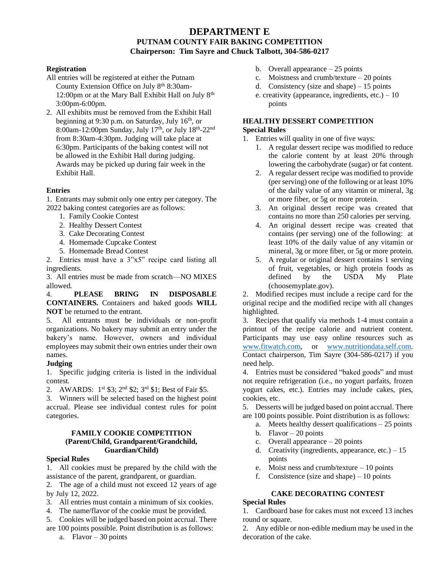## **DEPARTMENT E PUTNAM COUNTY FAIR BAKING COMPETITION Chairperson: Tim Sayre and Chuck Talbott, 304-586-0217**

#### **Registration**

- All entries will be registered at either the Putnam County Extension Office on July 8<sup>th</sup> 8:30am-12:00pm or at the Mary Ball Exhibit Hall on July  $8<sup>th</sup>$ 3:00pm-6:00pm.
- 2. All exhibits must be removed from the Exhibit Hall beginning at 9:30 p.m. on Saturday, July 16<sup>th</sup>, or 8:00am-12:00pm Sunday, July 17<sup>th</sup>, or July 18<sup>th</sup>-22<sup>nd</sup> from 8:30am-4:30pm. Judging will take place at 6:30pm. Participants of the baking contest will not be allowed in the Exhibit Hall during judging. Awards may be picked up during fair week in the Exhibit Hall.

#### **Entries**

1. Entrants may submit only one entry per category. The 2022 baking contest categories are as follows:

- 1. Family Cookie Contest
- 2. Healthy Dessert Contest
- 3. Cake Decorating Contest
- 4. Homemade Cupcake Contest
- 5. Homemade Bread Contest

2. Entries must have a 3"x5" recipe card listing all ingredients.

3. All entries must be made from scratch—NO MIXES allowed.

4. **PLEASE BRING IN DISPOSABLE CONTAINERS.** Containers and baked goods **WILL NOT** be returned to the entrant.

5. All entrants must be individuals or non-profit organizations. No bakery may submit an entry under the bakery's name. However, owners and individual employees may submit their own entries under their own names.

#### **Judging**

1. Specific judging criteria is listed in the individual contest.

2. AWARDS: 1<sup>st</sup> \$3; 2<sup>nd</sup> \$2; 3<sup>rd</sup> \$1; Best of Fair \$5.

3. Winners will be selected based on the highest point accrual. Please see individual contest rules for point categories.

#### **FAMILY COOKIE COMPETITION (Parent/Child, Grandparent/Grandchild, Guardian/Child)**

#### **Special Rules**

1. All cookies must be prepared by the child with the assistance of the parent, grandparent, or guardian.

2. The age of a child must not exceed 12 years of age by July 12, 2022.

- 3. All entries must contain a minimum of six cookies.
- 4. The name/flavor of the cookie must be provided.
- 5. Cookies will be judged based on point accrual. There
- are 100 points possible. Point distribution is as follows:
	- a. Flavor 30 points
- b. Overall appearance 25 points
- c. Moistness and crumb/texture 20 points
- d. Consistency (size and shape) 15 points
- e. creativity (appearance, ingredients, etc.)  $-10$ points

#### **HEALTHY DESSERT COMPETITION Special Rules**

1. Entries will quality in one of five ways:

- 1. A regular dessert recipe was modified to reduce the calorie content by at least 20% through lowering the carbohydrate (sugar) or fat content.
- 2. A regular dessert recipe was modified to provide (per serving) one of the following or at least 10% of the daily value of any vitamin or mineral, 3g or more fiber, or 5g or more protein.
- 3. An original dessert recipe was created that contains no more than 250 calories per serving.
- 4. An original dessert recipe was created that contains (per serving) one of the following: at least 10% of the daily value of any vitamin or mineral, 3g or more fiber, or 5g or more protein.
- 5. A regular or original dessert contains 1 serving of fruit, vegetables, or high protein foods as defined by the USDA My Plate (choosemyplate.gov).

2. Modified recipes must include a recipe card for the original recipe and the modified recipe with all changes highlighted.

3. Recipes that qualify via methods 1-4 must contain a printout of the recipe calorie and nutrient content. Participants may use easy online resources such as [www.fitwatch.com,](http://www.fitwatch.com/) or [www.nutritiondata.self.com.](http://www.nutritiondata.self.com/) Contact chairperson, Tim Sayre (304-586-0217) if you need help.

4. Entries must be considered "baked goods" and must not require refrigeration (i.e., no yogurt parfaits, frozen yogurt cakes, etc.). Entries may include cakes, pies, cookies, etc.

5. Desserts will be judged based on point accrual. There are 100 points possible. Point distribution is as follows:

- a. Meets healthy dessert qualifications 25 points
- b. Flavor  $-20$  points
- c. Overall appearance 20 points
- d. Creativity (ingredients, appearance, etc.)  $-15$ points
- e. Moist ness and crumb/texture 10 points
- f. Consistence (size and shape) 10 points

# **CAKE DECORATING CONTEST**

#### **Special Rules**

1. Cardboard base for cakes must not exceed 13 inches round or square.

2. Any edible or non-edible medium may be used in the decoration of the cake.